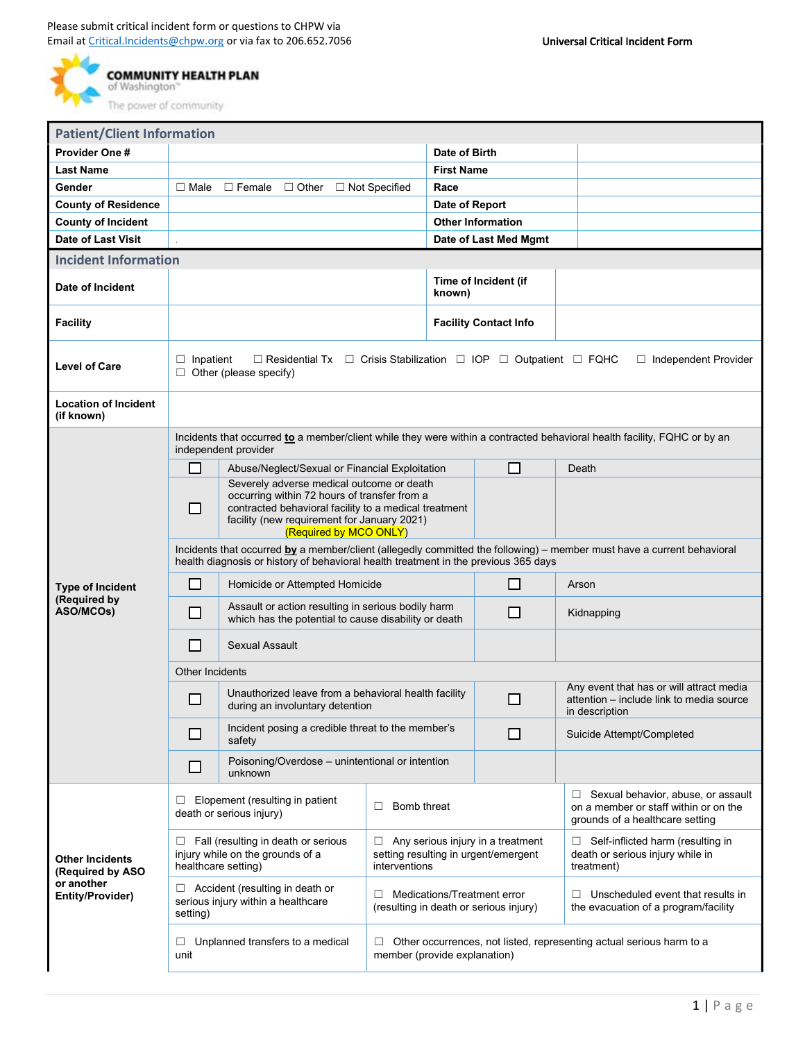

| <b>Patient/Client Information</b>                                            |                                                                                                                                                                                                               |                                                                                                                                                                                                                             |                                                                                                                |                                |                              |                                                                                                                     |  |  |  |  |
|------------------------------------------------------------------------------|---------------------------------------------------------------------------------------------------------------------------------------------------------------------------------------------------------------|-----------------------------------------------------------------------------------------------------------------------------------------------------------------------------------------------------------------------------|----------------------------------------------------------------------------------------------------------------|--------------------------------|------------------------------|---------------------------------------------------------------------------------------------------------------------|--|--|--|--|
| Provider One #                                                               |                                                                                                                                                                                                               |                                                                                                                                                                                                                             |                                                                                                                | Date of Birth                  |                              |                                                                                                                     |  |  |  |  |
| <b>Last Name</b>                                                             |                                                                                                                                                                                                               |                                                                                                                                                                                                                             |                                                                                                                | <b>First Name</b>              |                              |                                                                                                                     |  |  |  |  |
| Gender                                                                       | $\Box$ Male                                                                                                                                                                                                   | $\Box$ Female<br>$\Box$ Other                                                                                                                                                                                               | $\Box$ Not Specified                                                                                           | Race                           |                              |                                                                                                                     |  |  |  |  |
| <b>County of Residence</b>                                                   |                                                                                                                                                                                                               |                                                                                                                                                                                                                             |                                                                                                                | Date of Report                 |                              |                                                                                                                     |  |  |  |  |
| <b>County of Incident</b>                                                    |                                                                                                                                                                                                               |                                                                                                                                                                                                                             |                                                                                                                |                                | <b>Other Information</b>     |                                                                                                                     |  |  |  |  |
| Date of Last Visit                                                           |                                                                                                                                                                                                               |                                                                                                                                                                                                                             |                                                                                                                |                                | Date of Last Med Mgmt        |                                                                                                                     |  |  |  |  |
| <b>Incident Information</b>                                                  |                                                                                                                                                                                                               |                                                                                                                                                                                                                             |                                                                                                                |                                |                              |                                                                                                                     |  |  |  |  |
| Date of Incident                                                             |                                                                                                                                                                                                               |                                                                                                                                                                                                                             |                                                                                                                | Time of Incident (if<br>known) |                              |                                                                                                                     |  |  |  |  |
| <b>Facility</b>                                                              |                                                                                                                                                                                                               |                                                                                                                                                                                                                             |                                                                                                                |                                | <b>Facility Contact Info</b> |                                                                                                                     |  |  |  |  |
| <b>Level of Care</b>                                                         | $\Box$ Residential Tx $\Box$ Crisis Stabilization $\Box$ IOP $\Box$ Outpatient $\Box$ FQHC<br>$\Box$ Independent Provider<br>Inpatient<br>⊔<br>$\Box$ Other (please specify)                                  |                                                                                                                                                                                                                             |                                                                                                                |                                |                              |                                                                                                                     |  |  |  |  |
| <b>Location of Incident</b><br>(if known)                                    |                                                                                                                                                                                                               |                                                                                                                                                                                                                             |                                                                                                                |                                |                              |                                                                                                                     |  |  |  |  |
|                                                                              | Incidents that occurred to a member/client while they were within a contracted behavioral health facility, FQHC or by an<br>independent provider                                                              |                                                                                                                                                                                                                             |                                                                                                                |                                |                              |                                                                                                                     |  |  |  |  |
|                                                                              | □                                                                                                                                                                                                             | Abuse/Neglect/Sexual or Financial Exploitation                                                                                                                                                                              |                                                                                                                |                                | □                            | Death                                                                                                               |  |  |  |  |
| <b>Type of Incident</b><br>(Required by<br>ASO/MCOs)                         | П                                                                                                                                                                                                             | Severely adverse medical outcome or death<br>occurring within 72 hours of transfer from a<br>contracted behavioral facility to a medical treatment<br>facility (new requirement for January 2021)<br>(Required by MCO ONLY) |                                                                                                                |                                |                              |                                                                                                                     |  |  |  |  |
|                                                                              | Incidents that occurred by a member/client (allegedly committed the following) – member must have a current behavioral<br>health diagnosis or history of behavioral health treatment in the previous 365 days |                                                                                                                                                                                                                             |                                                                                                                |                                |                              |                                                                                                                     |  |  |  |  |
|                                                                              | ΙI                                                                                                                                                                                                            | Homicide or Attempted Homicide                                                                                                                                                                                              |                                                                                                                |                                | ΙI                           | Arson                                                                                                               |  |  |  |  |
|                                                                              | □                                                                                                                                                                                                             | Assault or action resulting in serious bodily harm<br>which has the potential to cause disability or death                                                                                                                  |                                                                                                                | □                              | Kidnapping                   |                                                                                                                     |  |  |  |  |
|                                                                              | □                                                                                                                                                                                                             | <b>Sexual Assault</b>                                                                                                                                                                                                       |                                                                                                                |                                |                              |                                                                                                                     |  |  |  |  |
|                                                                              | Other Incidents                                                                                                                                                                                               |                                                                                                                                                                                                                             |                                                                                                                |                                |                              |                                                                                                                     |  |  |  |  |
|                                                                              | $\mathcal{L}_{\mathcal{A}}$                                                                                                                                                                                   | Unauthorized leave from a behavioral health facility<br>during an involuntary detention                                                                                                                                     |                                                                                                                |                                | l I                          | Any event that has or will attract media<br>attention - include link to media source<br>in description              |  |  |  |  |
|                                                                              | ⊔                                                                                                                                                                                                             | Incident posing a credible threat to the member's<br>safety                                                                                                                                                                 |                                                                                                                | ப                              | Suicide Attempt/Completed    |                                                                                                                     |  |  |  |  |
|                                                                              | □                                                                                                                                                                                                             | Poisoning/Overdose - unintentional or intention<br>unknown                                                                                                                                                                  |                                                                                                                |                                |                              |                                                                                                                     |  |  |  |  |
| <b>Other Incidents</b><br>(Required by ASO<br>or another<br>Entity/Provider) | Elopement (resulting in patient<br>⊔<br>death or serious injury)                                                                                                                                              |                                                                                                                                                                                                                             | Bomb threat<br>□                                                                                               |                                |                              | Sexual behavior, abuse, or assault<br>⊔<br>on a member or staff within or on the<br>grounds of a healthcare setting |  |  |  |  |
|                                                                              | ⊔                                                                                                                                                                                                             | Fall (resulting in death or serious<br>injury while on the grounds of a<br>healthcare setting)                                                                                                                              | $\Box$ Any serious injury in a treatment<br>setting resulting in urgent/emergent<br>interventions              |                                |                              | $\Box$ Self-inflicted harm (resulting in<br>death or serious injury while in<br>treatment)                          |  |  |  |  |
|                                                                              | setting)                                                                                                                                                                                                      | Accident (resulting in death or<br>serious injury within a healthcare                                                                                                                                                       | Medications/Treatment error<br>□<br>(resulting in death or serious injury)                                     |                                |                              | Unscheduled event that results in<br>□<br>the evacuation of a program/facility                                      |  |  |  |  |
|                                                                              | Unplanned transfers to a medical<br>⊔<br>unit                                                                                                                                                                 |                                                                                                                                                                                                                             | Other occurrences, not listed, representing actual serious harm to a<br>$\Box$<br>member (provide explanation) |                                |                              |                                                                                                                     |  |  |  |  |